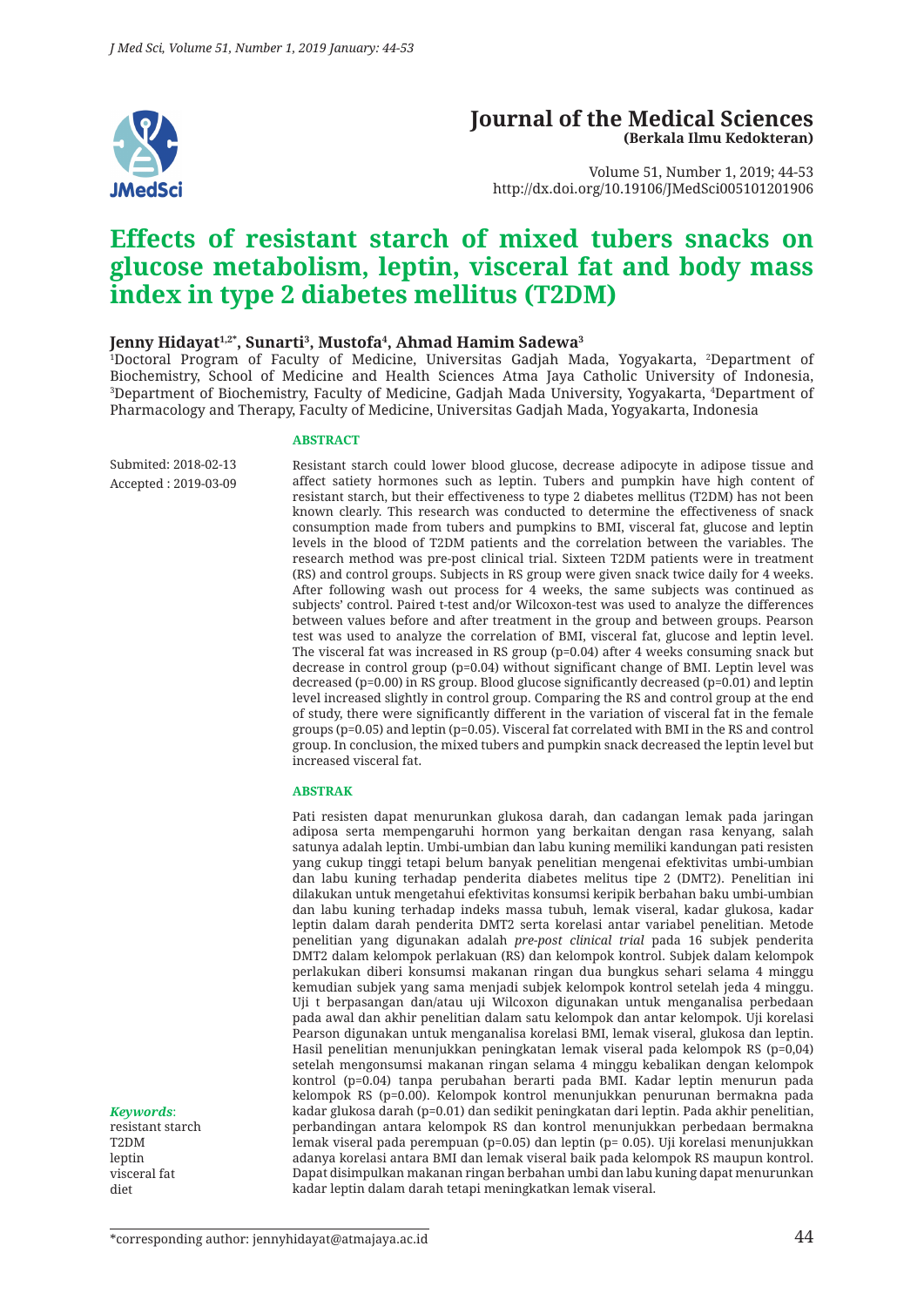

### **Journal of the Medical Sciences (Berkala Ilmu Kedokteran)**

Volume 51, Number 1, 2019; 44-53 http://dx.doi.org/10.19106/JMedSci005101201906

# **Effects of resistant starch of mixed tubers snacks on glucose metabolism, leptin, visceral fat and body mass index in type 2 diabetes mellitus (T2DM)**

#### Jenny Hidayat<sup>1,2</sup>\*, Sunarti<sup>3</sup>, Mustofa<sup>4</sup>, Ahmad Hamim Sadewa<sup>3</sup>

1 Doctoral Program of Faculty of Medicine, Universitas Gadjah Mada, Yogyakarta, 2 Department of Biochemistry, School of Medicine and Health Sciences Atma Jaya Catholic University of Indonesia, 3 Department of Biochemistry, Faculty of Medicine, Gadjah Mada University, Yogyakarta, 4 Department of Pharmacology and Therapy, Faculty of Medicine, Universitas Gadjah Mada, Yogyakarta, Indonesia

#### **ABSTRACT**

Submited: 2018-02-13 Accepted : 2019-03-09 Resistant starch could lower blood glucose, decrease adipocyte in adipose tissue and affect satiety hormones such as leptin. Tubers and pumpkin have high content of resistant starch, but their effectiveness to type 2 diabetes mellitus (T2DM) has not been known clearly. This research was conducted to determine the effectiveness of snack consumption made from tubers and pumpkins to BMI, visceral fat, glucose and leptin levels in the blood of T2DM patients and the correlation between the variables. The research method was pre-post clinical trial. Sixteen T2DM patients were in treatment (RS) and control groups. Subjects in RS group were given snack twice daily for 4 weeks. After following wash out process for 4 weeks, the same subjects was continued as subjects' control. Paired t-test and/or Wilcoxon-test was used to analyze the differences between values before and after treatment in the group and between groups. Pearson test was used to analyze the correlation of BMI, visceral fat, glucose and leptin level. The visceral fat was increased in RS group (p=0.04) after 4 weeks consuming snack but decrease in control group (p=0.04) without significant change of BMI. Leptin level was decreased (p=0.00) in RS group. Blood glucose significantly decreased (p=0.01) and leptin level increased slightly in control group. Comparing the RS and control group at the end of study, there were significantly different in the variation of visceral fat in the female groups (p=0.05) and leptin (p=0.05). Visceral fat correlated with BMI in the RS and control group. In conclusion, the mixed tubers and pumpkin snack decreased the leptin level but increased visceral fat.

#### **ABSTRAK**

Pati resisten dapat menurunkan glukosa darah, dan cadangan lemak pada jaringan adiposa serta mempengaruhi hormon yang berkaitan dengan rasa kenyang, salah satunya adalah leptin. Umbi-umbian dan labu kuning memiliki kandungan pati resisten yang cukup tinggi tetapi belum banyak penelitian mengenai efektivitas umbi-umbian dan labu kuning terhadap penderita diabetes melitus tipe 2 (DMT2). Penelitian ini dilakukan untuk mengetahui efektivitas konsumsi keripik berbahan baku umbi-umbian dan labu kuning terhadap indeks massa tubuh, lemak viseral, kadar glukosa, kadar leptin dalam darah penderita DMT2 serta korelasi antar variabel penelitian. Metode penelitian yang digunakan adalah *pre-post clinical trial* pada 16 subjek penderita DMT2 dalam kelompok perlakuan (RS) dan kelompok kontrol. Subjek dalam kelompok perlakukan diberi konsumsi makanan ringan dua bungkus sehari selama 4 minggu kemudian subjek yang sama menjadi subjek kelompok kontrol setelah jeda 4 minggu. Uji t berpasangan dan/atau uji Wilcoxon digunakan untuk menganalisa perbedaan pada awal dan akhir penelitian dalam satu kelompok dan antar kelompok. Uji korelasi Pearson digunakan untuk menganalisa korelasi BMI, lemak viseral, glukosa dan leptin. Hasil penelitian menunjukkan peningkatan lemak viseral pada kelompok RS (p=0,04) setelah mengonsumsi makanan ringan selama 4 minggu kebalikan dengan kelompok kontrol (p=0.04) tanpa perubahan berarti pada BMI. Kadar leptin menurun pada kelompok RS (p=0.00). Kelompok kontrol menunjukkan penurunan bermakna pada kadar glukosa darah (p=0.01) dan sedikit peningkatan dari leptin. Pada akhir penelitian, perbandingan antara kelompok RS dan kontrol menunjukkan perbedaan bermakna lemak viseral pada perempuan (p=0.05) dan leptin (p= 0.05). Uji korelasi menunjukkan adanya korelasi antara BMI dan lemak viseral baik pada kelompok RS maupun kontrol. Dapat disimpulkan makanan ringan berbahan umbi dan labu kuning dapat menurunkan kadar leptin dalam darah tetapi meningkatkan lemak viseral.

*Keywords*:

resistant starch T2DM leptin visceral fat diet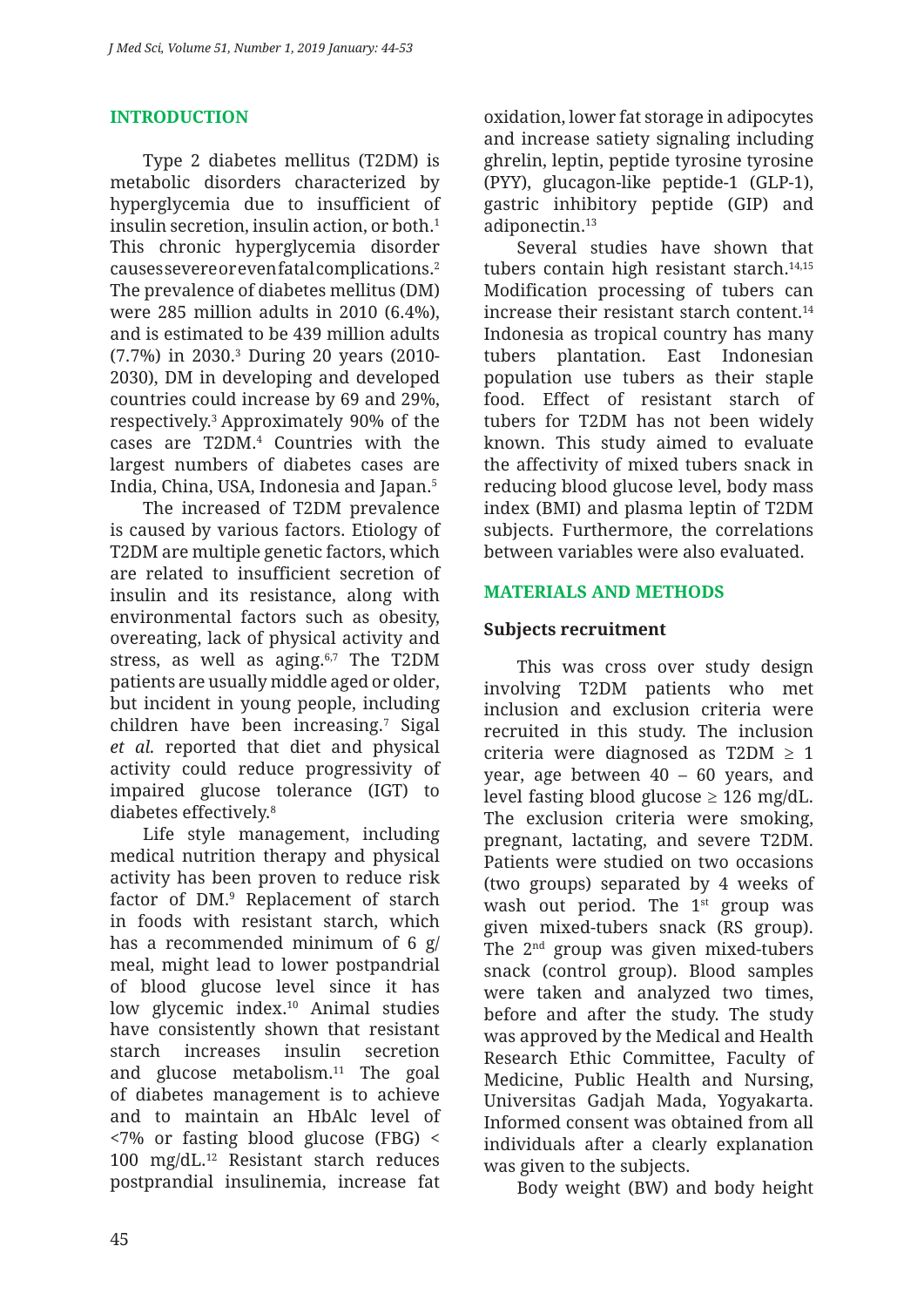### **INTRODUCTION**

Type 2 diabetes mellitus (T2DM) is metabolic disorders characterized by hyperglycemia due to insufficient of insulin secretion, insulin action, or both.<sup>1</sup> This chronic hyperglycemia disorder causes severe or even fatal complications.2 The prevalence of diabetes mellitus (DM) were 285 million adults in 2010 (6.4%), and is estimated to be 439 million adults (7.7%) in 2030.3 During 20 years (2010- 2030), DM in developing and developed countries could increase by 69 and 29%, respectively.3 Approximately 90% of the cases are T2DM.4 Countries with the largest numbers of diabetes cases are India, China, USA, Indonesia and Japan.5

The increased of T2DM prevalence is caused by various factors. Etiology of T2DM are multiple genetic factors, which are related to insufficient secretion of insulin and its resistance, along with environmental factors such as obesity, overeating, lack of physical activity and stress, as well as aging.<sup>6,7</sup> The T2DM patients are usually middle aged or older, but incident in young people, including children have been increasing.7 Sigal *et al.* reported that diet and physical activity could reduce progressivity of impaired glucose tolerance (IGT) to diabetes effectively.8

Life style management, including medical nutrition therapy and physical activity has been proven to reduce risk factor of DM.9 Replacement of starch in foods with resistant starch, which has a recommended minimum of 6 g/ meal, might lead to lower postpandrial of blood glucose level since it has low glycemic index.10 Animal studies have consistently shown that resistant starch increases insulin secretion and glucose metabolism.11 The goal of diabetes management is to achieve and to maintain an HbAlc level of <7% or fasting blood glucose (FBG) < 100 mg/dL.12 Resistant starch reduces postprandial insulinemia, increase fat

oxidation, lower fat storage in adipocytes and increase satiety signaling including ghrelin, leptin, peptide tyrosine tyrosine (PYY), glucagon-like peptide-1 (GLP-1), gastric inhibitory peptide (GIP) and adiponectin.13

Several studies have shown that tubers contain high resistant starch.<sup>14,15</sup> Modification processing of tubers can increase their resistant starch content.14 Indonesia as tropical country has many tubers plantation. East Indonesian population use tubers as their staple food. Effect of resistant starch of tubers for T2DM has not been widely known. This study aimed to evaluate the affectivity of mixed tubers snack in reducing blood glucose level, body mass index (BMI) and plasma leptin of T2DM subjects. Furthermore, the correlations between variables were also evaluated.

### **MATERIALS AND METHODS**

### **Subjects recruitment**

This was cross over study design involving T2DM patients who met inclusion and exclusion criteria were recruited in this study. The inclusion criteria were diagnosed as  $T2DM \ge 1$ year, age between 40 – 60 years, and level fasting blood glucose  $\geq 126$  mg/dL. The exclusion criteria were smoking, pregnant, lactating, and severe T2DM. Patients were studied on two occasions (two groups) separated by 4 weeks of wash out period. The 1<sup>st</sup> group was given mixed-tubers snack (RS group). The 2nd group was given mixed-tubers snack (control group). Blood samples were taken and analyzed two times, before and after the study. The study was approved by the Medical and Health Research Ethic Committee, Faculty of Medicine, Public Health and Nursing, Universitas Gadjah Mada, Yogyakarta. Informed consent was obtained from all individuals after a clearly explanation was given to the subjects.

Body weight (BW) and body height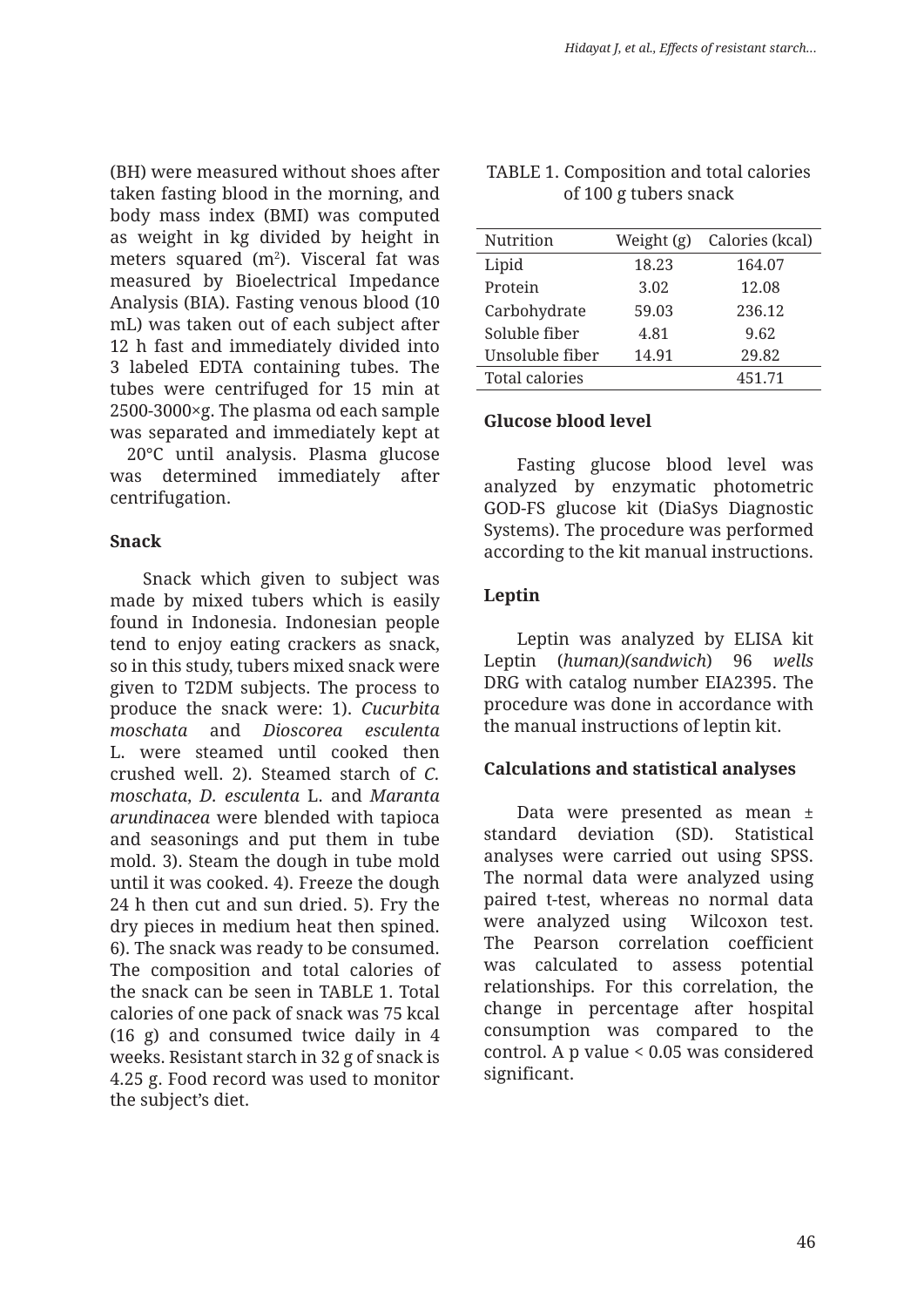(BH) were measured without shoes after taken fasting blood in the morning, and body mass index (BMI) was computed as weight in kg divided by height in meters squared  $(m^2)$ . Visceral fat was measured by Bioelectrical Impedance Analysis (BIA). Fasting venous blood (10 mL) was taken out of each subject after 12 h fast and immediately divided into 3 labeled EDTA containing tubes. The tubes were centrifuged for 15 min at 2500-3000×g. The plasma od each sample was separated and immediately kept at

−20°C until analysis. Plasma glucose was determined immediately after centrifugation.

### **Snack**

Snack which given to subject was made by mixed tubers which is easily found in Indonesia. Indonesian people tend to enjoy eating crackers as snack, so in this study, tubers mixed snack were given to T2DM subjects. The process to produce the snack were: 1). *Cucurbita moschata* and *Dioscorea esculenta*  L. were steamed until cooked then crushed well. 2). Steamed starch of *C. moschata*, *D. esculenta* L. and *Maranta arundinacea* were blended with tapioca and seasonings and put them in tube mold. 3). Steam the dough in tube mold until it was cooked. 4). Freeze the dough 24 h then cut and sun dried. 5). Fry the dry pieces in medium heat then spined. 6). The snack was ready to be consumed. The composition and total calories of the snack can be seen in TABLE 1. Total calories of one pack of snack was 75 kcal (16 g) and consumed twice daily in 4 weeks. Resistant starch in 32 g of snack is 4.25 g. Food record was used to monitor the subject's diet.

| Nutrition       | Weight (g) | Calories (kcal) |
|-----------------|------------|-----------------|
| Lipid           | 18.23      | 164.07          |
| Protein         | 3.02       | 12.08           |
| Carbohydrate    | 59.03      | 236.12          |
| Soluble fiber   | 4.81       | 9.62            |
| Unsoluble fiber | 14.91      | 29.82           |
| Total calories  |            | 451.71          |
|                 |            |                 |

#### TABLE 1. Composition and total calories of 100 g tubers snack

### **Glucose blood level**

Fasting glucose blood level was analyzed by enzymatic photometric GOD-FS glucose kit (DiaSys Diagnostic Systems). The procedure was performed according to the kit manual instructions.

### **Leptin**

Leptin was analyzed by ELISA kit Leptin (*human)(sandwich*) 96 *wells* DRG with catalog number EIA2395. The procedure was done in accordance with the manual instructions of leptin kit.

### **Calculations and statistical analyses**

Data were presented as mean ± standard deviation (SD). Statistical analyses were carried out using SPSS. The normal data were analyzed using paired t-test, whereas no normal data were analyzed using Wilcoxon test. The Pearson correlation coefficient was calculated to assess potential relationships. For this correlation, the change in percentage after hospital consumption was compared to the control. A p value < 0.05 was considered significant.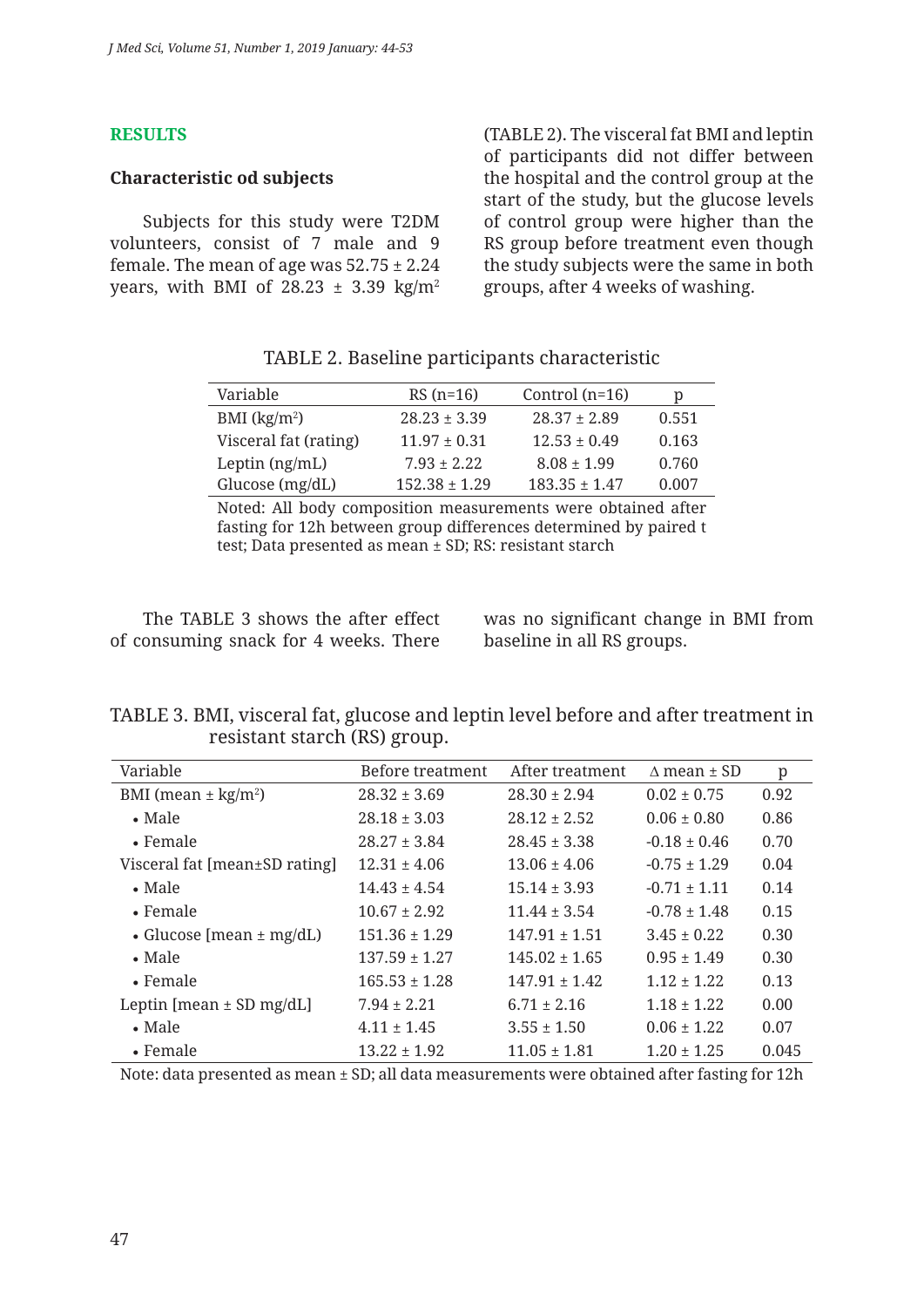#### **RESULTS**

### **Characteristic od subjects**

Subjects for this study were T2DM volunteers, consist of 7 male and 9 female. The mean of age was  $52.75 \pm 2.24$ years, with BMI of 28.23  $\pm$  3.39 kg/m<sup>2</sup> (TABLE 2). The visceral fat BMI and leptin of participants did not differ between the hospital and the control group at the start of the study, but the glucose levels of control group were higher than the RS group before treatment even though the study subjects were the same in both groups, after 4 weeks of washing.

| Variable              | $RS(n=16)$        | Control $(n=16)$  | р     |
|-----------------------|-------------------|-------------------|-------|
| BMI $(kg/m2)$         | $28.23 \pm 3.39$  | $28.37 \pm 2.89$  | 0.551 |
| Visceral fat (rating) | $11.97 \pm 0.31$  | $12.53 + 0.49$    | 0.163 |
| Leptin $(ng/mL)$      | $7.93 + 2.22$     | $8.08 \pm 1.99$   | 0.760 |
| Glucose $(mg/dL)$     | $152.38 \pm 1.29$ | $183.35 \pm 1.47$ | 0.007 |

### TABLE 2. Baseline participants characteristic

Noted: All body composition measurements were obtained after fasting for 12h between group differences determined by paired t test; Data presented as mean ± SD; RS: resistant starch

The TABLE 3 shows the after effect of consuming snack for 4 weeks. There

was no significant change in BMI from baseline in all RS groups.

TABLE 3. BMI, visceral fat, glucose and leptin level before and after treatment in resistant starch (RS) group.

| Variable                            | Before treatment  | After treatment   | $\Lambda$ mean $\pm$ SD | p     |
|-------------------------------------|-------------------|-------------------|-------------------------|-------|
| BMI (mean $\pm$ kg/m <sup>2</sup> ) | $28.32 \pm 3.69$  | $28.30 \pm 2.94$  | $0.02 \pm 0.75$         | 0.92  |
| $\bullet$ Male                      | $28.18 \pm 3.03$  | $28.12 \pm 2.52$  | $0.06 \pm 0.80$         | 0.86  |
| • Female                            | $28.27 \pm 3.84$  | $28.45 \pm 3.38$  | $-0.18 \pm 0.46$        | 0.70  |
| Visceral fat [mean±SD rating]       | $12.31 + 4.06$    | $13.06 \pm 4.06$  | $-0.75 \pm 1.29$        | 0.04  |
| $\bullet$ Male                      | $14.43 \pm 4.54$  | $15.14 \pm 3.93$  | $-0.71 \pm 1.11$        | 0.14  |
| $\bullet$ Female                    | $10.67 \pm 2.92$  | $11.44 \pm 3.54$  | $-0.78 \pm 1.48$        | 0.15  |
| • Glucose [mean $\pm$ mg/dL)        | $151.36 \pm 1.29$ | $147.91 \pm 1.51$ | $3.45 \pm 0.22$         | 0.30  |
| $\bullet$ Male                      | $137.59 \pm 1.27$ | $145.02 \pm 1.65$ | $0.95 \pm 1.49$         | 0.30  |
| $\bullet$ Female                    | $165.53 \pm 1.28$ | $147.91 + 1.42$   | $1.12 + 1.22$           | 0.13  |
| Leptin [mean $\pm$ SD mg/dL]        | $7.94 \pm 2.21$   | $6.71 \pm 2.16$   | $1.18 \pm 1.22$         | 0.00  |
| $\bullet$ Male                      | $4.11 \pm 1.45$   | $3.55 \pm 1.50$   | $0.06 \pm 1.22$         | 0.07  |
| • Female                            | $13.22 \pm 1.92$  | $11.05 \pm 1.81$  | $1.20 \pm 1.25$         | 0.045 |

Note: data presented as mean ± SD; all data measurements were obtained after fasting for 12h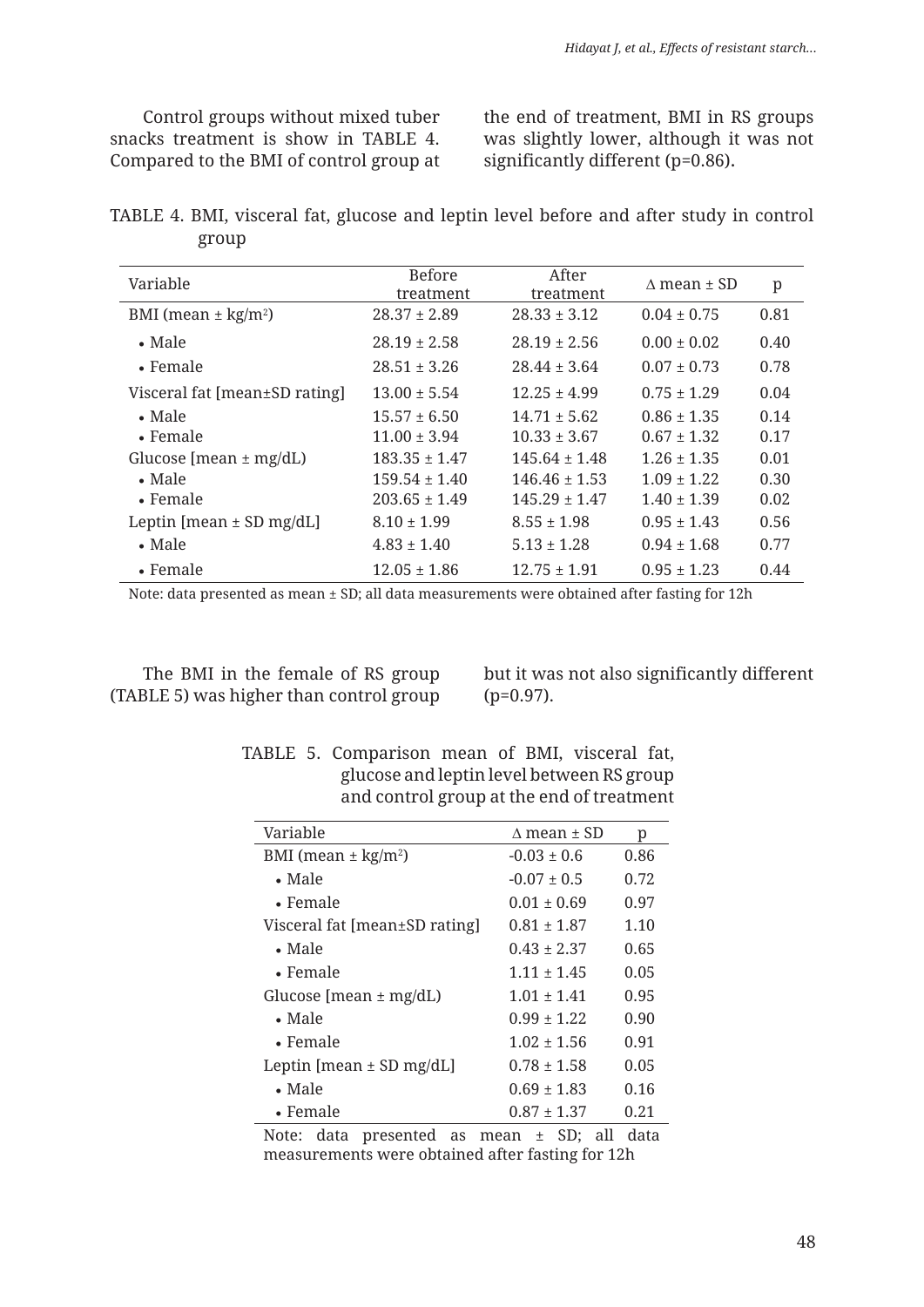Control groups without mixed tuber snacks treatment is show in TABLE 4. Compared to the BMI of control group at the end of treatment, BMI in RS groups was slightly lower, although it was not significantly different (p=0.86).

TABLE 4. BMI, visceral fat, glucose and leptin level before and after study in control group

| Variable                            | <b>Before</b><br>treatment | After<br>treatment | $\triangle$ mean $\pm$ SD | p    |
|-------------------------------------|----------------------------|--------------------|---------------------------|------|
| BMI (mean $\pm$ kg/m <sup>2</sup> ) | $28.37 \pm 2.89$           | $28.33 \pm 3.12$   | $0.04 \pm 0.75$           | 0.81 |
| $\bullet$ Male                      | $28.19 \pm 2.58$           | $28.19 \pm 2.56$   | $0.00 \pm 0.02$           | 0.40 |
| $\bullet$ Female                    | $28.51 \pm 3.26$           | $28.44 \pm 3.64$   | $0.07 \pm 0.73$           | 0.78 |
| Visceral fat [mean±SD rating]       | $13.00 \pm 5.54$           | $12.25 \pm 4.99$   | $0.75 \pm 1.29$           | 0.04 |
| $\bullet$ Male                      | $15.57 \pm 6.50$           | $14.71 \pm 5.62$   | $0.86 \pm 1.35$           | 0.14 |
| $\bullet$ Female                    | $11.00 \pm 3.94$           | $10.33 \pm 3.67$   | $0.67 \pm 1.32$           | 0.17 |
| Glucose [mean $\pm$ mg/dL)          | $183.35 \pm 1.47$          | $145.64 \pm 1.48$  | $1.26 \pm 1.35$           | 0.01 |
| $\bullet$ Male                      | $159.54 \pm 1.40$          | $146.46 \pm 1.53$  | $1.09 \pm 1.22$           | 0.30 |
| $\bullet$ Female                    | $203.65 \pm 1.49$          | $145.29 \pm 1.47$  | $1.40 \pm 1.39$           | 0.02 |
| Leptin [mean $\pm$ SD mg/dL]        | $8.10 \pm 1.99$            | $8.55 \pm 1.98$    | $0.95 \pm 1.43$           | 0.56 |
| $\bullet$ Male                      | $4.83 \pm 1.40$            | $5.13 \pm 1.28$    | $0.94 \pm 1.68$           | 0.77 |
| • Female                            | $12.05 \pm 1.86$           | $12.75 \pm 1.91$   | $0.95 \pm 1.23$           | 0.44 |

Note: data presented as mean ± SD; all data measurements were obtained after fasting for 12h

The BMI in the female of RS group (TABLE 5) was higher than control group but it was not also significantly different (p=0.97).

|  | TABLE 5. Comparison mean of BMI, visceral fat, |  |  |  |
|--|------------------------------------------------|--|--|--|
|  | glucose and leptin level between RS group      |  |  |  |
|  | and control group at the end of treatment      |  |  |  |

| Variable                            | $\land$ mean $\pm$ SD | р    |
|-------------------------------------|-----------------------|------|
| BMI (mean $\pm$ kg/m <sup>2</sup> ) | $-0.03 \pm 0.6$       | 0.86 |
| $\bullet$ Male                      | $-0.07 \pm 0.5$       | 0.72 |
| $\bullet$ Female                    | $0.01 \pm 0.69$       | 0.97 |
| Visceral fat [mean±SD rating]       | $0.81 + 1.87$         | 1.10 |
| $\bullet$ Male                      | $0.43 + 2.37$         | 0.65 |
| $\bullet$ Female                    | $1.11 + 1.45$         | 0.05 |
| Glucose [mean $\pm$ mg/dL)          | $1.01 \pm 1.41$       | 0.95 |
| $\bullet$ Male                      | $0.99 + 1.22$         | 0.90 |
| $\bullet$ Female                    | $1.02 \pm 1.56$       | 0.91 |
| Leptin [mean $\pm$ SD mg/dL]        | $0.78 \pm 1.58$       | 0.05 |
| $\bullet$ Male                      | $0.69 + 1.83$         | 0.16 |
| $\bullet$ Female                    | $0.87 \pm 1.37$       | 0.21 |

Note: data presented as mean ± SD; all data measurements were obtained after fasting for 12h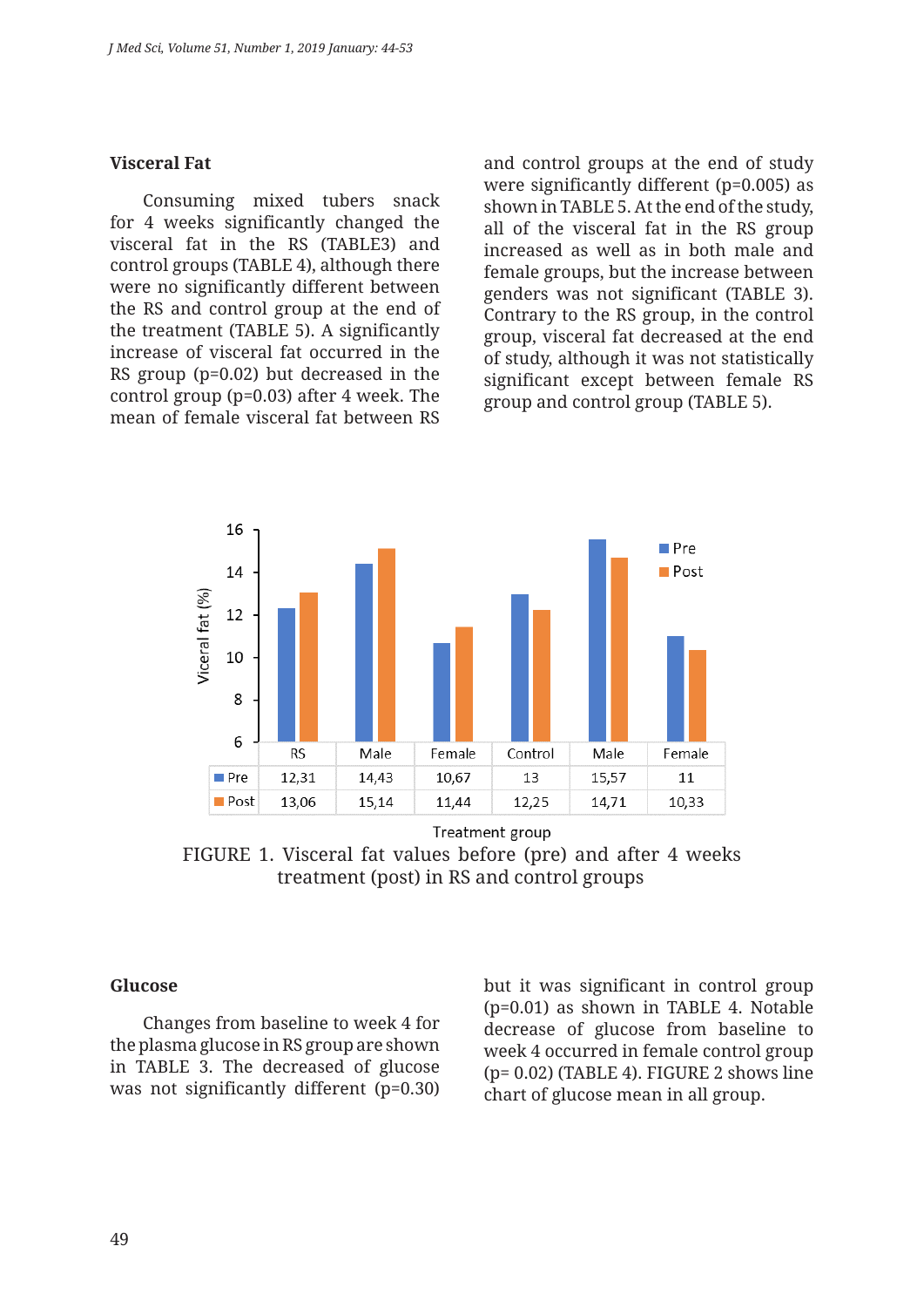#### **Visceral Fat**

Consuming mixed tubers snack for 4 weeks significantly changed the visceral fat in the RS (TABLE3) and control groups (TABLE 4), although there were no significantly different between the RS and control group at the end of the treatment (TABLE 5). A significantly increase of visceral fat occurred in the RS group (p=0.02) but decreased in the control group (p=0.03) after 4 week. The mean of female visceral fat between RS

and control groups at the end of study were significantly different (p=0.005) as shown in TABLE 5. At the end of the study, all of the visceral fat in the RS group increased as well as in both male and female groups, but the increase between genders was not significant (TABLE 3). Contrary to the RS group, in the control group, visceral fat decreased at the end of study, although it was not statistically significant except between female RS group and control group (TABLE 5).



FIGURE 1. Visceral fat values before (pre) and after 4 weeks treatment (post) in RS and control groups

#### **Glucose**

Changes from baseline to week 4 for the plasma glucose in RS group are shown in TABLE 3. The decreased of glucose was not significantly different (p=0.30) but it was significant in control group (p=0.01) as shown in TABLE 4. Notable decrease of glucose from baseline to week 4 occurred in female control group (p= 0.02) (TABLE 4). FIGURE 2 shows line chart of glucose mean in all group.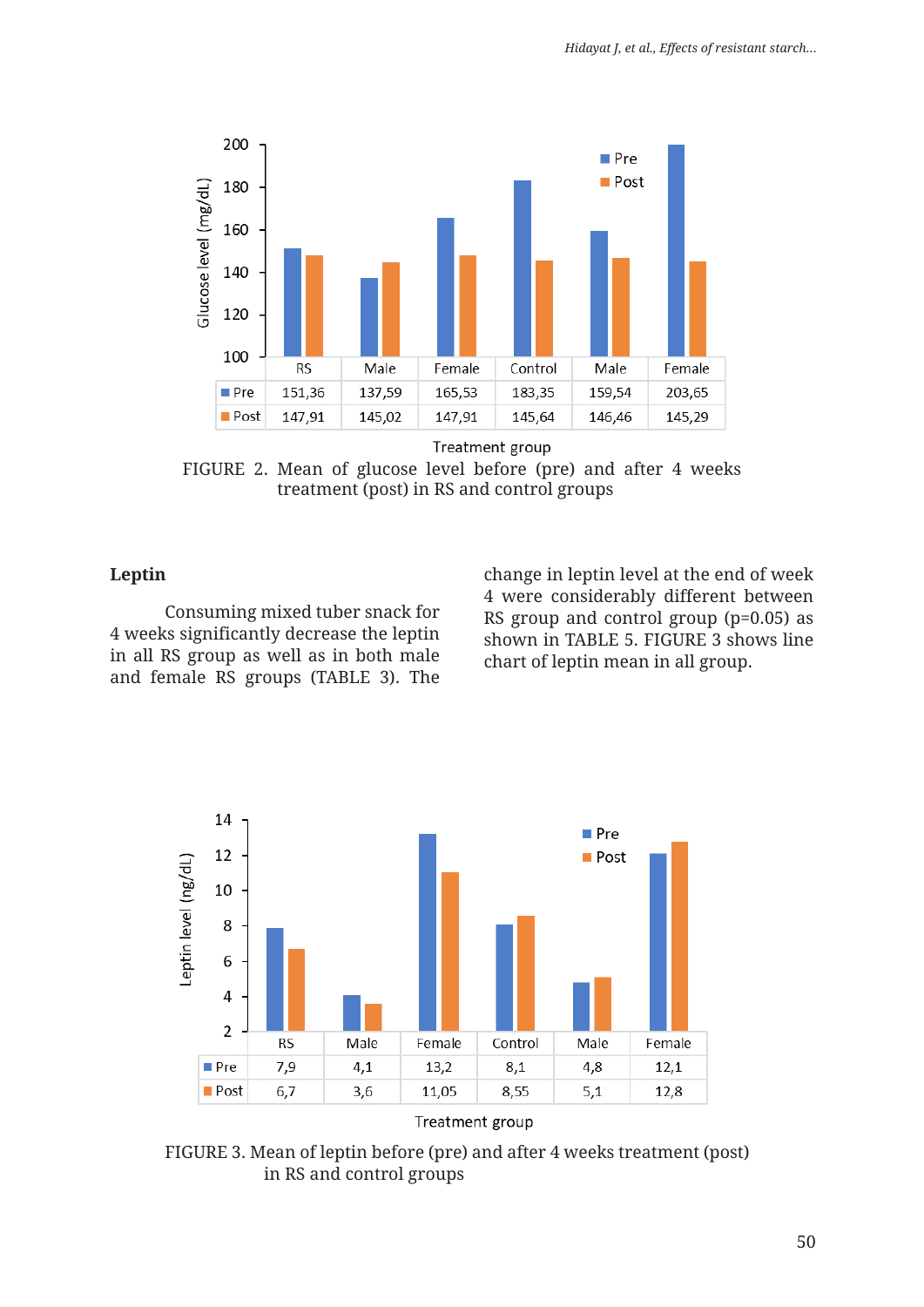

Treatment group

FIGURE 2. Mean of glucose level before (pre) and after 4 weeks treatment (post) in RS and control groups

### **Leptin**

Consuming mixed tuber snack for 4 weeks significantly decrease the leptin in all RS group as well as in both male and female RS groups (TABLE 3). The change in leptin level at the end of week 4 were considerably different between RS group and control group (p=0.05) as shown in TABLE 5. FIGURE 3 shows line chart of leptin mean in all group.



FIGURE 3. Mean of leptin before (pre) and after 4 weeks treatment (post) in RS and control groups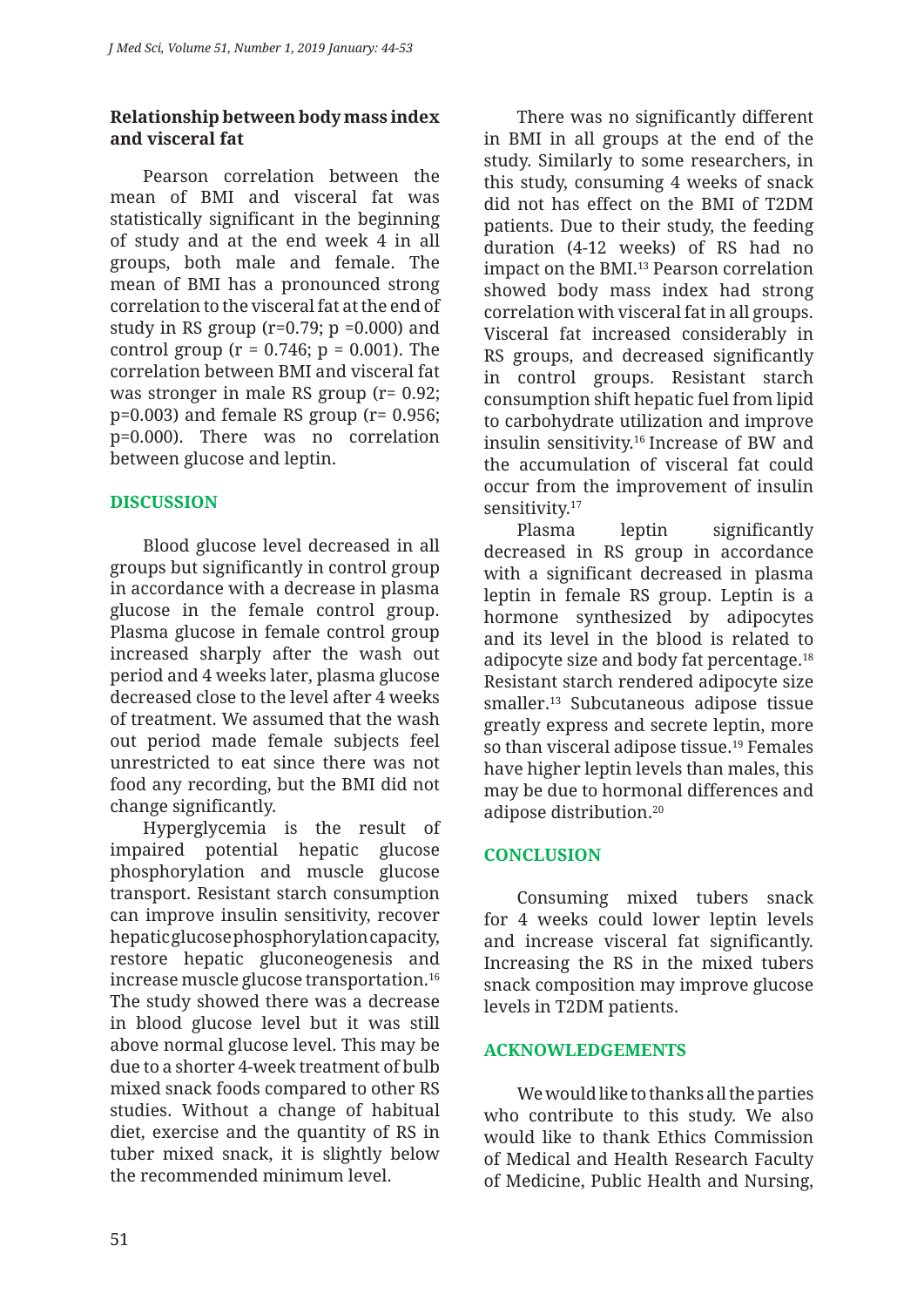## **Relationship between body mass index and visceral fat**

Pearson correlation between the mean of BMI and visceral fat was statistically significant in the beginning of study and at the end week 4 in all groups, both male and female. The mean of BMI has a pronounced strong correlation to the visceral fat at the end of study in RS group ( $r=0.79$ ;  $p = 0.000$ ) and control group ( $r = 0.746$ ;  $p = 0.001$ ). The correlation between BMI and visceral fat was stronger in male RS group (r= 0.92;  $p=0.003$ ) and female RS group ( $r=0.956$ ; p=0.000). There was no correlation between glucose and leptin.

## **DISCUSSION**

Blood glucose level decreased in all groups but significantly in control group in accordance with a decrease in plasma glucose in the female control group. Plasma glucose in female control group increased sharply after the wash out period and 4 weeks later, plasma glucose decreased close to the level after 4 weeks of treatment. We assumed that the wash out period made female subjects feel unrestricted to eat since there was not food any recording, but the BMI did not change significantly.

Hyperglycemia is the result of impaired potential hepatic glucose phosphorylation and muscle glucose transport. Resistant starch consumption can improve insulin sensitivity, recover hepatic glucose phosphorylation capacity, restore hepatic gluconeogenesis and increase muscle glucose transportation.16 The study showed there was a decrease in blood glucose level but it was still above normal glucose level. This may be due to a shorter 4-week treatment of bulb mixed snack foods compared to other RS studies. Without a change of habitual diet, exercise and the quantity of RS in tuber mixed snack, it is slightly below the recommended minimum level.

There was no significantly different in BMI in all groups at the end of the study. Similarly to some researchers, in this study, consuming 4 weeks of snack did not has effect on the BMI of T2DM patients. Due to their study, the feeding duration (4-12 weeks) of RS had no impact on the BMI.<sup>13</sup> Pearson correlation showed body mass index had strong correlation with visceral fat in all groups. Visceral fat increased considerably in RS groups, and decreased significantly in control groups. Resistant starch consumption shift hepatic fuel from lipid to carbohydrate utilization and improve insulin sensitivity.16 Increase of BW and the accumulation of visceral fat could occur from the improvement of insulin sensitivity.<sup>17</sup>

Plasma leptin significantly decreased in RS group in accordance with a significant decreased in plasma leptin in female RS group. Leptin is a hormone synthesized by adipocytes and its level in the blood is related to adipocyte size and body fat percentage.18 Resistant starch rendered adipocyte size smaller.13 Subcutaneous adipose tissue greatly express and secrete leptin, more so than visceral adipose tissue.19 Females have higher leptin levels than males, this may be due to hormonal differences and adipose distribution.20

## **CONCLUSION**

Consuming mixed tubers snack for 4 weeks could lower leptin levels and increase visceral fat significantly. Increasing the RS in the mixed tubers snack composition may improve glucose levels in T2DM patients.

### **ACKNOWLEDGEMENTS**

We would like to thanks all the parties who contribute to this study. We also would like to thank Ethics Commission of Medical and Health Research Faculty of Medicine, Public Health and Nursing,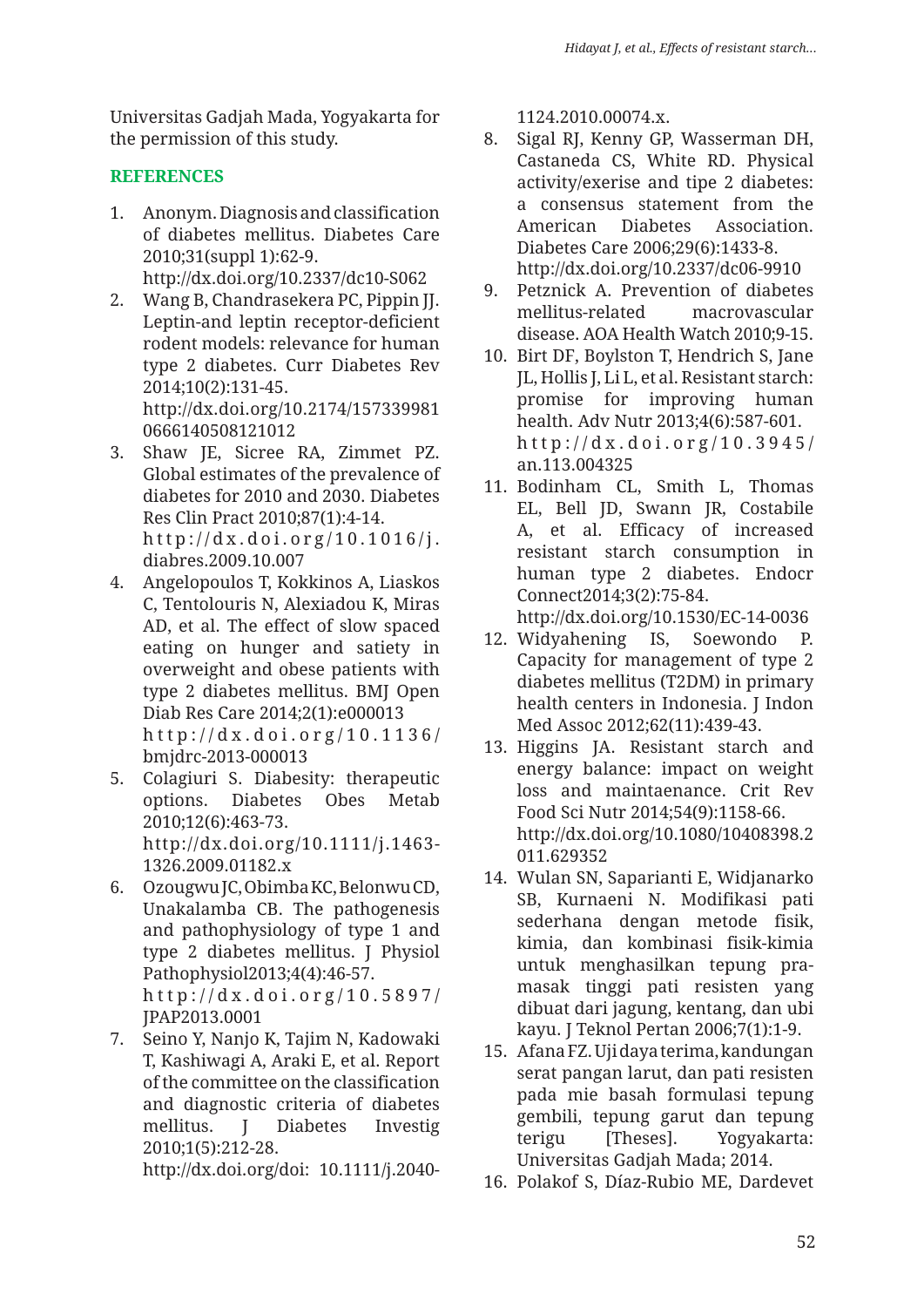Universitas Gadjah Mada, Yogyakarta for the permission of this study.

## **REFERENCES**

- 1. Anonym. Diagnosis and classification of diabetes mellitus. Diabetes Care 2010;31(suppl 1):62-9. http://dx.doi.org/10.2337/dc10-S062
- 2. Wang B, Chandrasekera PC, Pippin JJ. Leptin-and leptin receptor-deficient rodent models: relevance for human type 2 diabetes. Curr Diabetes Rev 2014;10(2):131-45. http://dx.doi.org/10.2174/157339981 0666140508121012
- 3. Shaw JE, Sicree RA, Zimmet PZ. Global estimates of the prevalence of diabetes for 2010 and 2030. Diabetes Res Clin Pract 2010;87(1):4-14. http://dx.doi.org/10.1016/j. diabres.2009.10.007
- 4. Angelopoulos T, Kokkinos A, Liaskos C, Tentolouris N, Alexiadou K, Miras AD, et al. The effect of slow spaced eating on hunger and satiety in overweight and obese patients with type 2 diabetes mellitus. BMJ Open Diab Res Care 2014;2(1):e000013 http://dx.doi.org/10.1136/ bmjdrc-2013-000013
- 5. Colagiuri S. Diabesity: therapeutic options. Diabetes Obes Metab 2010;12(6):463-73. http://dx.doi.org/10.1111/j.1463- 1326.2009.01182.x
- 6. Ozougwu JC, Obimba KC, Belonwu CD, Unakalamba CB. The pathogenesis and pathophysiology of type 1 and type 2 diabetes mellitus. J Physiol Pathophysiol2013;4(4):46-57. http://dx.doi.org/10.5897/ JPAP2013.0001
- 7. Seino Y, Nanjo K, Tajim N, Kadowaki T, Kashiwagi A, Araki E, et al. Report of the committee on the classification and diagnostic criteria of diabetes mellitus. J Diabetes Investig 2010;1(5):212-28.

http://dx.doi.org/doi: 10.1111/j.2040-

1124.2010.00074.x.

- 8. Sigal RJ, Kenny GP, Wasserman DH, Castaneda CS, White RD. Physical activity/exerise and tipe 2 diabetes: a consensus statement from the American Diabetes Association. Diabetes Care 2006;29(6):1433-8. http://dx.doi.org/10.2337/dc06-9910
- 9. Petznick A. Prevention of diabetes mellitus-related macrovascular disease. AOA Health Watch 2010;9-15.
- 10. Birt DF, Boylston T, Hendrich S, Jane JL, Hollis J, Li L, et al. Resistant starch: promise for improving human health. Adv Nutr 2013;4(6):587-601. http://dx.doi.org/10.3945/ an.113.004325
- 11. Bodinham CL, Smith L, Thomas EL, Bell JD, Swann JR, Costabile A, et al. Efficacy of increased resistant starch consumption in human type 2 diabetes. Endocr Connect2014;3(2):75-84.

http://dx.doi.org/10.1530/EC-14-0036

- 12. Widyahening IS, Soewondo P. Capacity for management of type 2 diabetes mellitus (T2DM) in primary health centers in Indonesia. J Indon Med Assoc 2012;62(11):439-43.
- 13. Higgins JA. Resistant starch and energy balance: impact on weight loss and maintaenance. Crit Rev Food Sci Nutr 2014;54(9):1158-66. http://dx.doi.org/10.1080/10408398.2 011.629352
- 14. Wulan SN, Saparianti E, Widjanarko SB, Kurnaeni N. Modifikasi pati sederhana dengan metode fisik, kimia, dan kombinasi fisik-kimia untuk menghasilkan tepung pramasak tinggi pati resisten yang dibuat dari jagung, kentang, dan ubi kayu. J Teknol Pertan 2006;7(1):1-9.
- 15. Afana FZ. Uji daya terima, kandungan serat pangan larut, dan pati resisten pada mie basah formulasi tepung gembili, tepung garut dan tepung terigu [Theses]. Yogyakarta: Universitas Gadjah Mada; 2014.
- 16. Polakof S, Díaz-Rubio ME, Dardevet